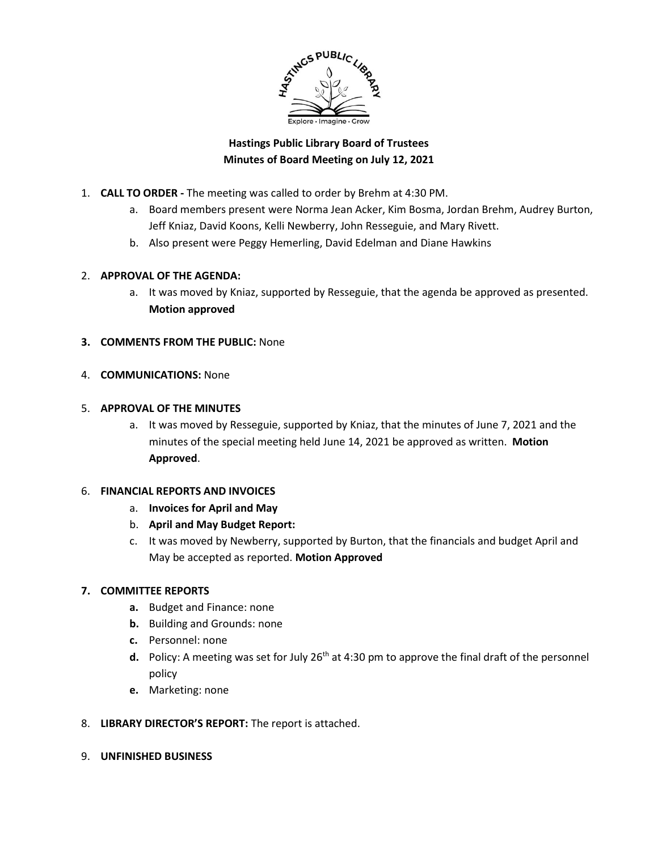

# **Hastings Public Library Board of Trustees Minutes of Board Meeting on July 12, 2021**

- 1. **CALL TO ORDER -** The meeting was called to order by Brehm at 4:30 PM.
	- a. Board members present were Norma Jean Acker, Kim Bosma, Jordan Brehm, Audrey Burton, Jeff Kniaz, David Koons, Kelli Newberry, John Resseguie, and Mary Rivett.
	- b. Also present were Peggy Hemerling, David Edelman and Diane Hawkins

#### 2. **APPROVAL OF THE AGENDA:**

- a. It was moved by Kniaz, supported by Resseguie, that the agenda be approved as presented. **Motion approved**
- **3. COMMENTS FROM THE PUBLIC:** None
- 4. **COMMUNICATIONS:** None

#### 5. **APPROVAL OF THE MINUTES**

a. It was moved by Resseguie, supported by Kniaz, that the minutes of June 7, 2021 and the minutes of the special meeting held June 14, 2021 be approved as written. **Motion Approved**.

#### 6. **FINANCIAL REPORTS AND INVOICES**

- a. **Invoices for April and May**
- b. **April and May Budget Report:**
- c. It was moved by Newberry, supported by Burton, that the financials and budget April and May be accepted as reported. **Motion Approved**

## **7. COMMITTEE REPORTS**

- **a.** Budget and Finance: none
- **b.** Building and Grounds: none
- **c.** Personnel: none
- d. Policy: A meeting was set for July 26<sup>th</sup> at 4:30 pm to approve the final draft of the personnel policy
- **e.** Marketing: none
- 8. **LIBRARY DIRECTOR'S REPORT:** The report is attached.
- 9. **UNFINISHED BUSINESS**